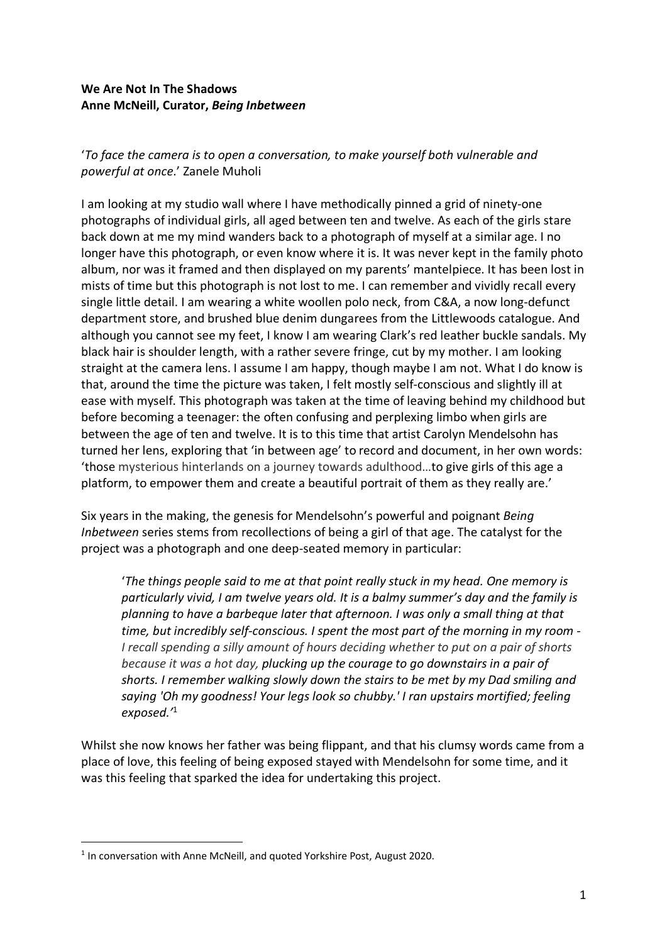## **We Are Not In The Shadows Anne McNeill, Curator,** *Being Inbetween*

## '*To face the camera is to open a conversation, to make yourself both vulnerable and powerful at once*.' Zanele Muholi

I am looking at my studio wall where I have methodically pinned a grid of ninety-one photographs of individual girls, all aged between ten and twelve. As each of the girls stare back down at me my mind wanders back to a photograph of myself at a similar age. I no longer have this photograph, or even know where it is. It was never kept in the family photo album, nor was it framed and then displayed on my parents' mantelpiece. It has been lost in mists of time but this photograph is not lost to me. I can remember and vividly recall every single little detail. I am wearing a white woollen polo neck, from C&A, a now long-defunct department store, and brushed blue denim dungarees from the Littlewoods catalogue. And although you cannot see my feet, I know I am wearing Clark's red leather buckle sandals. My black hair is shoulder length, with a rather severe fringe, cut by my mother. I am looking straight at the camera lens. I assume I am happy, though maybe I am not. What I do know is that, around the time the picture was taken, I felt mostly self-conscious and slightly ill at ease with myself. This photograph was taken at the time of leaving behind my childhood but before becoming a teenager: the often confusing and perplexing limbo when girls are between the age of ten and twelve. It is to this time that artist Carolyn Mendelsohn has turned her lens, exploring that 'in between age' to record and document, in her own words: 'those mysterious hinterlands on a journey towards adulthood…to give girls of this age a platform, to empower them and create a beautiful portrait of them as they really are.'

Six years in the making, the genesis for Mendelsohn's powerful and poignant *Being Inbetween* series stems from recollections of being a girl of that age. The catalyst for the project was a photograph and one deep-seated memory in particular:

'*The things people said to me at that point really stuck in my head. One memory is particularly vivid, I am twelve years old. It is a balmy summer's day and the family is planning to have a barbeque later that afternoon. I was only a small thing at that time, but incredibly self-conscious. I spent the most part of the morning in my room - I recall spending a silly amount of hours deciding whether to put on a pair of shorts because it was a hot day, plucking up the courage to go downstairs in a pair of shorts. I remember walking slowly down the stairs to be met by my Dad smiling and saying 'Oh my goodness! Your legs look so chubby.' I ran upstairs mortified; feeling exposed.'* 1

Whilst she now knows her father was being flippant, and that his clumsy words came from a place of love, this feeling of being exposed stayed with Mendelsohn for some time, and it was this feeling that sparked the idea for undertaking this project.

<sup>&</sup>lt;sup>1</sup> In conversation with Anne McNeill, and quoted Yorkshire Post, August 2020.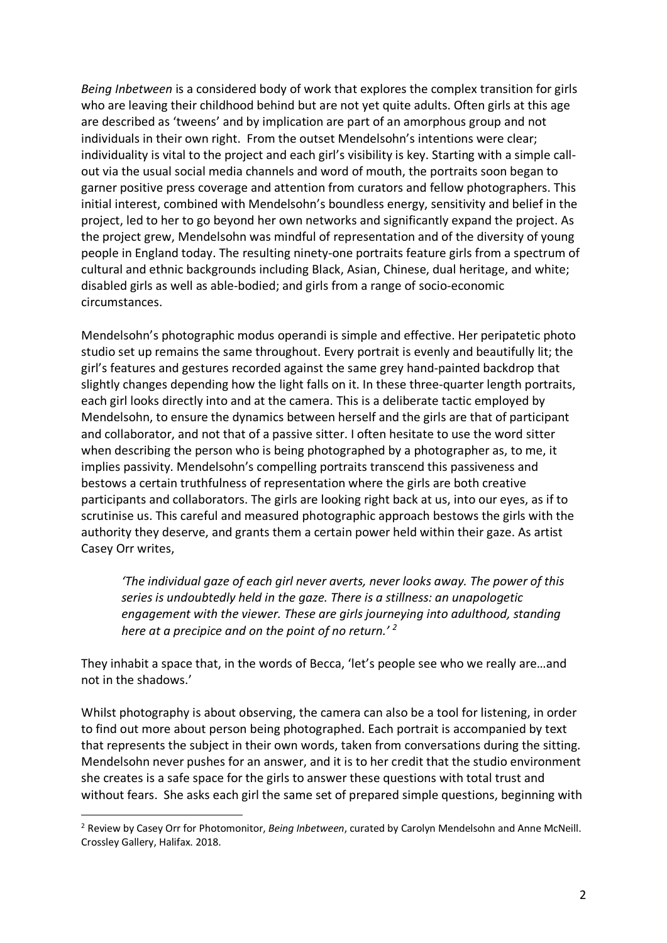*Being Inbetween* is a considered body of work that explores the complex transition for girls who are leaving their childhood behind but are not yet quite adults. Often girls at this age are described as 'tweens' and by implication are part of an amorphous group and not individuals in their own right. From the outset Mendelsohn's intentions were clear; individuality is vital to the project and each girl's visibility is key. Starting with a simple callout via the usual social media channels and word of mouth, the portraits soon began to garner positive press coverage and attention from curators and fellow photographers. This initial interest, combined with Mendelsohn's boundless energy, sensitivity and belief in the project, led to her to go beyond her own networks and significantly expand the project. As the project grew, Mendelsohn was mindful of representation and of the diversity of young people in England today. The resulting ninety-one portraits feature girls from a spectrum of cultural and ethnic backgrounds including Black, Asian, Chinese, dual heritage, and white; disabled girls as well as able-bodied; and girls from a range of socio-economic circumstances.

Mendelsohn's photographic modus operandi is simple and effective. Her peripatetic photo studio set up remains the same throughout. Every portrait is evenly and beautifully lit; the girl's features and gestures recorded against the same grey hand-painted backdrop that slightly changes depending how the light falls on it. In these three-quarter length portraits, each girl looks directly into and at the camera. This is a deliberate tactic employed by Mendelsohn, to ensure the dynamics between herself and the girls are that of participant and collaborator, and not that of a passive sitter. I often hesitate to use the word sitter when describing the person who is being photographed by a photographer as, to me, it implies passivity. Mendelsohn's compelling portraits transcend this passiveness and bestows a certain truthfulness of representation where the girls are both creative participants and collaborators. The girls are looking right back at us, into our eyes, as if to scrutinise us. This careful and measured photographic approach bestows the girls with the authority they deserve, and grants them a certain power held within their gaze. As artist Casey Orr writes,

*'The individual gaze of each girl never averts, never looks away. The power of this series is undoubtedly held in the gaze. There is a stillness: an unapologetic engagement with the viewer. These are girls journeying into adulthood, standing here at a precipice and on the point of no return.' 2*

They inhabit a space that, in the words of Becca, 'let's people see who we really are…and not in the shadows.'

Whilst photography is about observing, the camera can also be a tool for listening, in order to find out more about person being photographed. Each portrait is accompanied by text that represents the subject in their own words, taken from conversations during the sitting. Mendelsohn never pushes for an answer, and it is to her credit that the studio environment she creates is a safe space for the girls to answer these questions with total trust and without fears. She asks each girl the same set of prepared simple questions, beginning with

 <sup>2</sup> Review by Casey Orr for Photomonitor, *Being Inbetween*, curated by Carolyn Mendelsohn and Anne McNeill. Crossley Gallery, Halifax. 2018.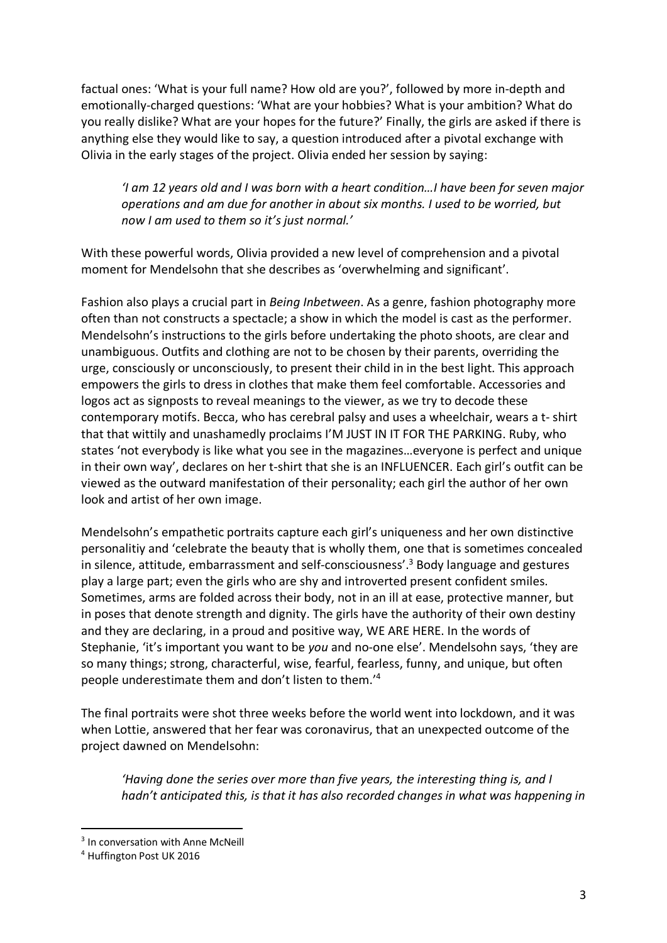factual ones: 'What is your full name? How old are you?', followed by more in-depth and emotionally-charged questions: 'What are your hobbies? What is your ambition? What do you really dislike? What are your hopes for the future?' Finally, the girls are asked if there is anything else they would like to say, a question introduced after a pivotal exchange with Olivia in the early stages of the project. Olivia ended her session by saying:

*'I am 12 years old and I was born with a heart condition…I have been for seven major operations and am due for another in about six months. I used to be worried, but now I am used to them so it's just normal.'*

With these powerful words, Olivia provided a new level of comprehension and a pivotal moment for Mendelsohn that she describes as 'overwhelming and significant'.

Fashion also plays a crucial part in *Being Inbetween*. As a genre, fashion photography more often than not constructs a spectacle; a show in which the model is cast as the performer. Mendelsohn's instructions to the girls before undertaking the photo shoots, are clear and unambiguous. Outfits and clothing are not to be chosen by their parents, overriding the urge, consciously or unconsciously, to present their child in in the best light. This approach empowers the girls to dress in clothes that make them feel comfortable. Accessories and logos act as signposts to reveal meanings to the viewer, as we try to decode these contemporary motifs. Becca, who has cerebral palsy and uses a wheelchair, wears a t- shirt that that wittily and unashamedly proclaims I'M JUST IN IT FOR THE PARKING. Ruby, who states 'not everybody is like what you see in the magazines…everyone is perfect and unique in their own way', declares on her t-shirt that she is an INFLUENCER. Each girl's outfit can be viewed as the outward manifestation of their personality; each girl the author of her own look and artist of her own image.

Mendelsohn's empathetic portraits capture each girl's uniqueness and her own distinctive personalitiy and 'celebrate the beauty that is wholly them, one that is sometimes concealed in silence, attitude, embarrassment and self-consciousness'.<sup>3</sup> Body language and gestures play a large part; even the girls who are shy and introverted present confident smiles. Sometimes, arms are folded across their body, not in an ill at ease, protective manner, but in poses that denote strength and dignity. The girls have the authority of their own destiny and they are declaring, in a proud and positive way, WE ARE HERE. In the words of Stephanie, 'it's important you want to be *you* and no-one else'. Mendelsohn says, 'they are so many things; strong, characterful, wise, fearful, fearless, funny, and unique, but often people underestimate them and don't listen to them.' 4

The final portraits were shot three weeks before the world went into lockdown, and it was when Lottie, answered that her fear was coronavirus, that an unexpected outcome of the project dawned on Mendelsohn:

*'Having done the series over more than five years, the interesting thing is, and I hadn't anticipated this, is that it has also recorded changes in what was happening in* 

<sup>&</sup>lt;sup>3</sup> In conversation with Anne McNeill

<sup>4</sup> Huffington Post UK 2016